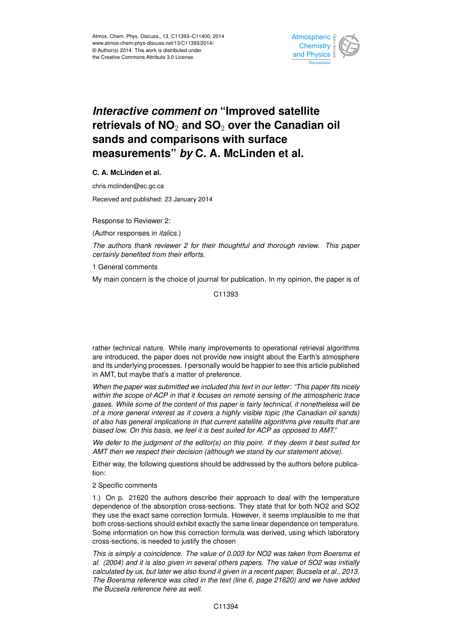

## *Interactive comment on* **"Improved satellite retrievals of NO**<sup>2</sup> **and SO**<sup>2</sup> **over the Canadian oil sands and comparisons with surface measurements"** *by* **C. A. McLinden et al.**

**C. A. McLinden et al.**

chris.mclinden@ec.gc.ca

Received and published: 23 January 2014

Response to Reviewer 2:

(Author responses in *italics*.)

*The authors thank reviewer 2 for their thoughtful and thorough review. This paper certainly benefited from their efforts.*

1 General comments

My main concern is the choice of journal for publication. In my opinion, the paper is of

C11393

rather technical nature. While many improvements to operational retrieval algorithms are introduced, the paper does not provide new insight about the Earth's atmosphere and its underlying processes. I personally would be happier to see this article published in AMT, but maybe that's a matter of preference.

*When the paper was submitted we included this text in our letter: "This paper fits nicely within the scope of ACP in that it focuses on remote sensing of the atmospheric trace gases. While some of the content of this paper is fairly technical, it nonetheless will be of a more general interest as it covers a highly visible topic (the Canadian oil sands) of also has general implications in that current satellite algorithms give results that are biased low. On this basis, we feel it is best suited for ACP as opposed to AMT."*

*We defer to the judgment of the editor(s) on this point. If they deem it best suited for AMT then we respect their decision (although we stand by our statement above).*

Either way, the following questions should be addressed by the authors before publication:

2 Specific comments

1.) On p. 21620 the authors describe their approach to deal with the temperature dependence of the absorption cross-sections. They state that for both NO2 and SO2 they use the exact same correction formula. However, it seems implausible to me that both cross-sections should exhibit exactly the same linear dependence on temperature. Some information on how this correction formula was derived, using which laboratory cross-sections, is needed to justify the chosen .

*This is simply a coincidence. The value of 0.003 for NO2 was taken from Boersma et al. (2004) and it is also given in several others papers. The value of SO2 was initially calculated by us, but later we also found it given in a recent paper, Bucsela et al., 2013. The Boersma reference was cited in the text (line 6, page 21620) and we have added the Bucsela reference here as well.*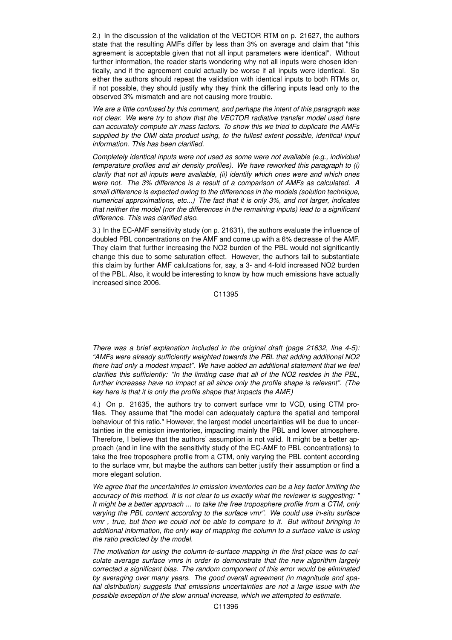2.) In the discussion of the validation of the VECTOR RTM on p. 21627, the authors state that the resulting AMFs differ by less than 3% on average and claim that "this agreement is acceptable given that not all input parameters were identical". Without further information, the reader starts wondering why not all inputs were chosen identically, and if the agreement could actually be worse if all inputs were identical. So either the authors should repeat the validation with identical inputs to both RTMs or, if not possible, they should justify why they think the differing inputs lead only to the observed 3% mismatch and are not causing more trouble.

*We are a little confused by this comment, and perhaps the intent of this paragraph was not clear. We were try to show that the VECTOR radiative transfer model used here can accurately compute air mass factors. To show this we tried to duplicate the AMFs supplied by the OMI data product using, to the fullest extent possible, identical input information. This has been clarified.*

*Completely identical inputs were not used as some were not available (e.g., individual temperature profiles and air density profiles). We have reworked this paragraph to (i) clarify that not all inputs were available, (ii) identify which ones were and which ones were not. The 3% difference is a result of a comparison of AMFs as calculated. A small difference is expected owing to the differences in the models (solution technique, numerical approximations, etc...) The fact that it is only 3%, and not larger, indicates that neither the model (nor the differences in the remaining inputs) lead to a significant difference. This was clarified also.*

3.) In the EC-AMF sensitivity study (on p. 21631), the authors evaluate the influence of doubled PBL concentrations on the AMF and come up with a 6% decrease of the AMF. They claim that further increasing the NO2 burden of the PBL would not significantly change this due to some saturation effect. However, the authors fail to substantiate this claim by further AMF calulcations for, say, a 3- and 4-fold increased NO2 burden of the PBL. Also, it would be interesting to know by how much emissions have actually increased since 2006.

C11395

*There was a brief explanation included in the original draft (page 21632, line 4-5): "AMFs were already sufficiently weighted towards the PBL that adding additional NO2 there had only a modest impact". We have added an additional statement that we feel clarifies this sufficiently: "In the limiting case that all of the NO2 resides in the PBL, further increases have no impact at all since only the profile shape is relevant". (The key here is that it is only the profile shape that impacts the AMF.)*

4.) On p. 21635, the authors try to convert surface vmr to VCD, using CTM profiles. They assume that "the model can adequately capture the spatial and temporal behaviour of this ratio." However, the largest model uncertainties will be due to uncertainties in the emission inventories, impacting mainly the PBL and lower atmosphere. Therefore, I believe that the authors' assumption is not valid. It might be a better approach (and in line with the sensitivity study of the EC-AMF to PBL concentrations) to take the free troposphere profile from a CTM, only varying the PBL content according to the surface vmr, but maybe the authors can better justify their assumption or find a more elegant solution.

*We agree that the uncertainties in emission inventories can be a key factor limiting the accuracy of this method. It is not clear to us exactly what the reviewer is suggesting: " It might be a better approach ... to take the free troposphere profile from a CTM, only varying the PBL content according to the surface vmr". We could use in-situ surface vmr , true, but then we could not be able to compare to it. But without bringing in additional information, the only way of mapping the column to a surface value is using the ratio predicted by the model.*

*The motivation for using the column-to-surface mapping in the first place was to calculate average surface vmrs in order to demonstrate that the new algorithm largely corrected a significant bias. The random component of this error would be eliminated by averaging over many years. The good overall agreement (in magnitude and spatial distribution) suggests that emissions uncertainties are not a large issue with the possible exception of the slow annual increase, which we attempted to estimate.*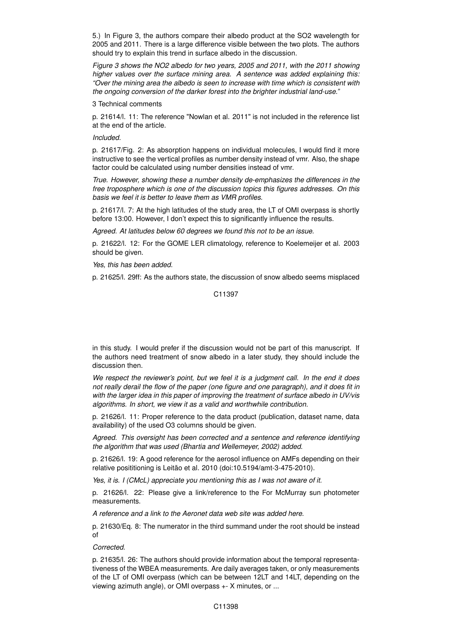5.) In Figure 3, the authors compare their albedo product at the SO2 wavelength for 2005 and 2011. There is a large difference visible between the two plots. The authors should try to explain this trend in surface albedo in the discussion.

*Figure 3 shows the NO2 albedo for two years, 2005 and 2011, with the 2011 showing higher values over the surface mining area. A sentence was added explaining this: "Over the mining area the albedo is seen to increase with time which is consistent with the ongoing conversion of the darker forest into the brighter industrial land-use."*

3 Technical comments

p. 21614/l. 11: The reference "Nowlan et al. 2011" is not included in the reference list at the end of the article.

*Included.*

p. 21617/Fig. 2: As absorption happens on individual molecules, I would find it more instructive to see the vertical profiles as number density instead of vmr. Also, the shape factor could be calculated using number densities instead of vmr.

*True. However, showing these a number density de-emphasizes the differences in the free troposphere which is one of the discussion topics this figures addresses. On this basis we feel it is better to leave them as VMR profiles.*

p. 21617/l. 7: At the high latitudes of the study area, the LT of OMI overpass is shortly before 13:00. However, I don't expect this to significantly influence the results.

*Agreed. At latitudes below 60 degrees we found this not to be an issue.*

p. 21622/l. 12: For the GOME LER climatology, reference to Koelemeijer et al. 2003 should be given.

*Yes, this has been added.*

p. 21625/l. 29ff: As the authors state, the discussion of snow albedo seems misplaced

C11397

in this study. I would prefer if the discussion would not be part of this manuscript. If the authors need treatment of snow albedo in a later study, they should include the discussion then.

*We respect the reviewer's point, but we feel it is a judgment call. In the end it does not really derail the flow of the paper (one figure and one paragraph), and it does fit in with the larger idea in this paper of improving the treatment of surface albedo in UV/vis algorithms. In short, we view it as a valid and worthwhile contribution.*

p. 21626/l. 11: Proper reference to the data product (publication, dataset name, data availability) of the used O3 columns should be given.

*Agreed. This oversight has been corrected and a sentence and reference identifying the algorithm that was used (Bhartia and Wellemeyer, 2002) added.*

p. 21626/l. 19: A good reference for the aerosol influence on AMFs depending on their relative posititioning is Leitão et al. 2010 (doi:10.5194/amt-3-475-2010).

*Yes, it is. I (CMcL) appreciate you mentioning this as I was not aware of it.*

p. 21626/l. 22: Please give a link/reference to the For McMurray sun photometer measurements.

*A reference and a link to the Aeronet data web site was added here.*

p. 21630/Eq. 8: The numerator in the third summand under the root should be instead of

*Corrected.*

p. 21635/l. 26: The authors should provide information about the temporal representativeness of the WBEA measurements. Are daily averages taken, or only measurements of the LT of OMI overpass (which can be between 12LT and 14LT, depending on the viewing azimuth angle), or OMI overpass +- X minutes, or ...